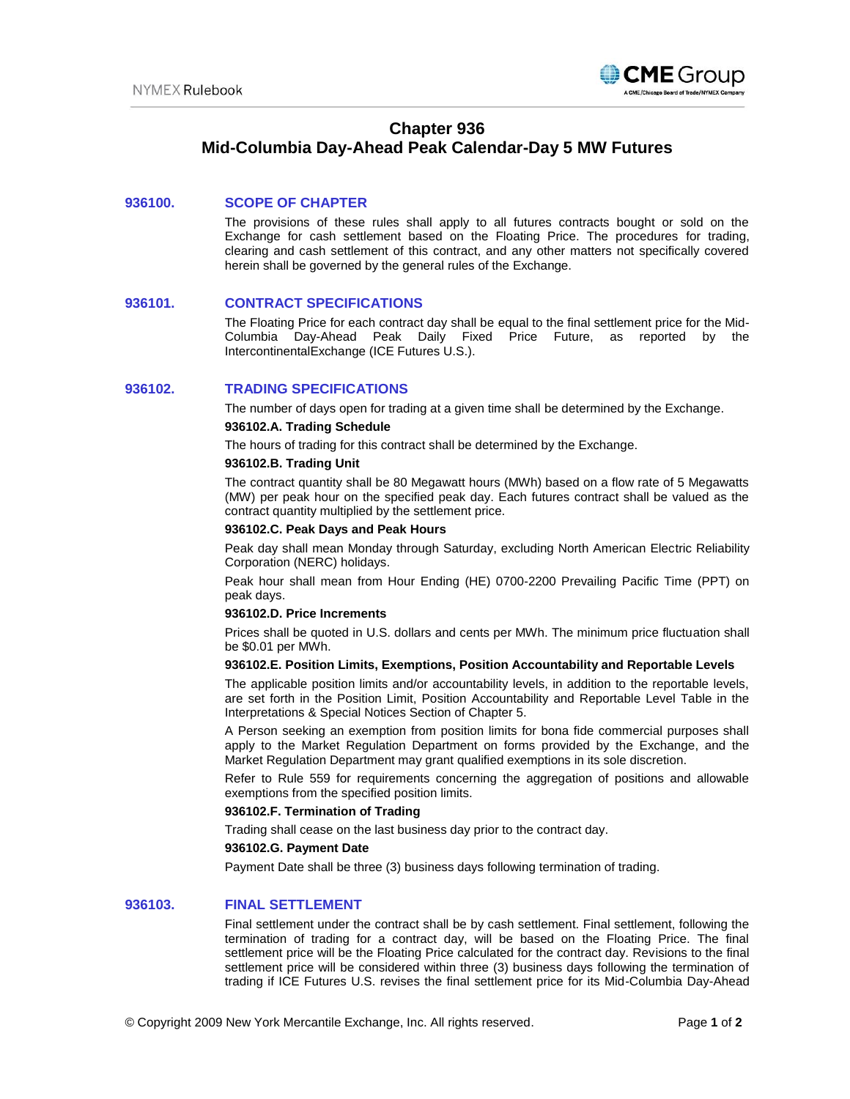

# **Chapter 936 Mid-Columbia Day-Ahead Peak Calendar-Day 5 MW Futures**

## **936100. SCOPE OF CHAPTER**

The provisions of these rules shall apply to all futures contracts bought or sold on the Exchange for cash settlement based on the Floating Price. The procedures for trading, clearing and cash settlement of this contract, and any other matters not specifically covered herein shall be governed by the general rules of the Exchange.

#### **936101. CONTRACT SPECIFICATIONS**

The Floating Price for each contract day shall be equal to the final settlement price for the Mid-Columbia Day-Ahead Peak Daily Fixed Price Future, as reported by IntercontinentalExchange (ICE Futures U.S.).

## **936102. TRADING SPECIFICATIONS**

The number of days open for trading at a given time shall be determined by the Exchange.

## **936102.A. Trading Schedule**

The hours of trading for this contract shall be determined by the Exchange.

#### **936102.B. Trading Unit**

The contract quantity shall be 80 Megawatt hours (MWh) based on a flow rate of 5 Megawatts (MW) per peak hour on the specified peak day. Each futures contract shall be valued as the contract quantity multiplied by the settlement price.

### **936102.C. Peak Days and Peak Hours**

Peak day shall mean Monday through Saturday, excluding North American Electric Reliability Corporation (NERC) holidays.

Peak hour shall mean from Hour Ending (HE) 0700-2200 Prevailing Pacific Time (PPT) on peak days.

## **936102.D. Price Increments**

Prices shall be quoted in U.S. dollars and cents per MWh. The minimum price fluctuation shall be \$0.01 per MWh.

## **936102.E. Position Limits, Exemptions, Position Accountability and Reportable Levels**

The applicable position limits and/or accountability levels, in addition to the reportable levels, are set forth in the Position Limit, Position Accountability and Reportable Level Table in the Interpretations & Special Notices Section of Chapter 5.

A Person seeking an exemption from position limits for bona fide commercial purposes shall apply to the Market Regulation Department on forms provided by the Exchange, and the Market Regulation Department may grant qualified exemptions in its sole discretion.

Refer to Rule 559 for requirements concerning the aggregation of positions and allowable exemptions from the specified position limits.

#### **936102.F. Termination of Trading**

Trading shall cease on the last business day prior to the contract day.

#### **936102.G. Payment Date**

Payment Date shall be three (3) business days following termination of trading.

## **936103. FINAL SETTLEMENT**

Final settlement under the contract shall be by cash settlement. Final settlement, following the termination of trading for a contract day, will be based on the Floating Price. The final settlement price will be the Floating Price calculated for the contract day. Revisions to the final settlement price will be considered within three (3) business days following the termination of trading if ICE Futures U.S. revises the final settlement price for its Mid-Columbia Day-Ahead